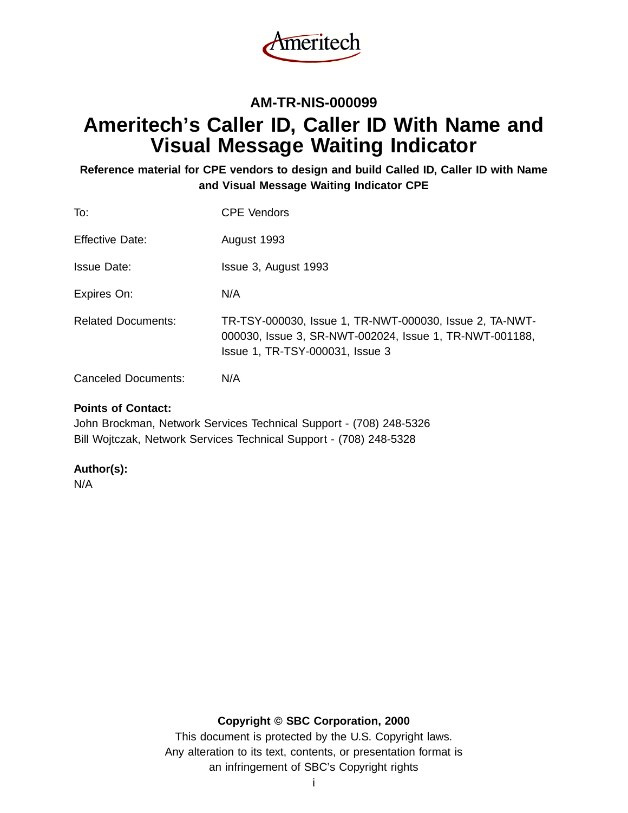

## **AM-TR-NIS-000099**

# **Ameritech's Caller ID, Caller ID With Name and Visual Message Waiting Indicator**

## **Reference material for CPE vendors to design and build Called ID, Caller ID with Name and Visual Message Waiting Indicator CPE**

| To:                       | CPE Vendors                                                                                                                                           |
|---------------------------|-------------------------------------------------------------------------------------------------------------------------------------------------------|
| <b>Effective Date:</b>    | August 1993                                                                                                                                           |
| Issue Date:               | Issue 3, August 1993                                                                                                                                  |
| Expires On:               | N/A                                                                                                                                                   |
| <b>Related Documents:</b> | TR-TSY-000030, Issue 1, TR-NWT-000030, Issue 2, TA-NWT-<br>000030, Issue 3, SR-NWT-002024, Issue 1, TR-NWT-001188,<br>Issue 1, TR-TSY-000031, Issue 3 |
| Canceled Documents:       | N/A                                                                                                                                                   |

### **Points of Contact:**

John Brockman, Network Services Technical Support - (708) 248-5326 Bill Wojtczak, Network Services Technical Support - (708) 248-5328

### **Author(s):**

N/A

## **Copyright © SBC Corporation, 2000**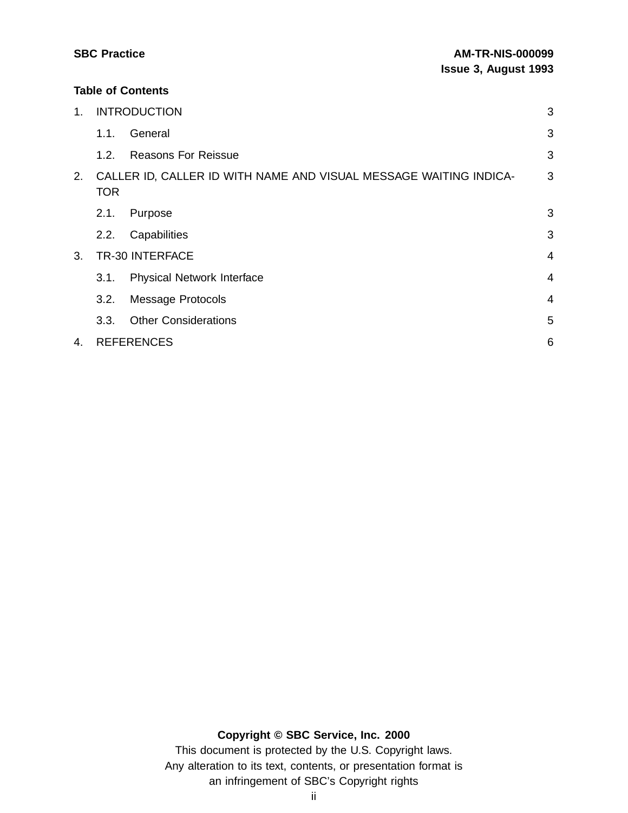### **Table of Contents**

| 1.                                                                                    | <b>INTRODUCTION</b> |                                   | 3              |
|---------------------------------------------------------------------------------------|---------------------|-----------------------------------|----------------|
|                                                                                       | 1.1.                | General                           | 3              |
|                                                                                       | 1.2.                | <b>Reasons For Reissue</b>        | 3              |
| CALLER ID, CALLER ID WITH NAME AND VISUAL MESSAGE WAITING INDICA-<br>2.<br><b>TOR</b> |                     |                                   | 3              |
|                                                                                       | 2.1.                | Purpose                           | 3              |
|                                                                                       | 2.2.                | Capabilities                      | 3              |
| TR-30 INTERFACE<br>3.                                                                 |                     |                                   | $\overline{4}$ |
|                                                                                       | 3.1.                | <b>Physical Network Interface</b> | $\overline{4}$ |
|                                                                                       | 3.2.                | <b>Message Protocols</b>          | $\overline{4}$ |
|                                                                                       | 3.3.                | <b>Other Considerations</b>       | 5              |
| 4.                                                                                    |                     | <b>REFERENCES</b>                 | 6              |

## **Copyright © SBC Service, Inc. 2000**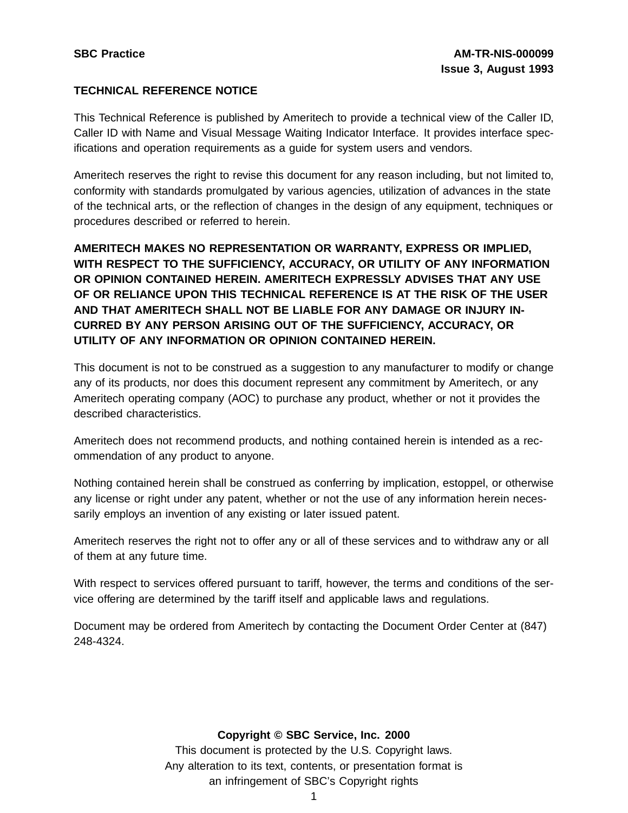## **TECHNICAL REFERENCE NOTICE**

This Technical Reference is published by Ameritech to provide a technical view of the Caller ID, Caller ID with Name and Visual Message Waiting Indicator Interface. It provides interface specifications and operation requirements as a guide for system users and vendors.

Ameritech reserves the right to revise this document for any reason including, but not limited to, conformity with standards promulgated by various agencies, utilization of advances in the state of the technical arts, or the reflection of changes in the design of any equipment, techniques or procedures described or referred to herein.

**AMERITECH MAKES NO REPRESENTATION OR WARRANTY, EXPRESS OR IMPLIED, WITH RESPECT TO THE SUFFICIENCY, ACCURACY, OR UTILITY OF ANY INFORMATION OR OPINION CONTAINED HEREIN. AMERITECH EXPRESSLY ADVISES THAT ANY USE OF OR RELIANCE UPON THIS TECHNICAL REFERENCE IS AT THE RISK OF THE USER AND THAT AMERITECH SHALL NOT BE LIABLE FOR ANY DAMAGE OR INJURY IN-CURRED BY ANY PERSON ARISING OUT OF THE SUFFICIENCY, ACCURACY, OR UTILITY OF ANY INFORMATION OR OPINION CONTAINED HEREIN.**

This document is not to be construed as a suggestion to any manufacturer to modify or change any of its products, nor does this document represent any commitment by Ameritech, or any Ameritech operating company (AOC) to purchase any product, whether or not it provides the described characteristics.

Ameritech does not recommend products, and nothing contained herein is intended as a recommendation of any product to anyone.

Nothing contained herein shall be construed as conferring by implication, estoppel, or otherwise any license or right under any patent, whether or not the use of any information herein necessarily employs an invention of any existing or later issued patent.

Ameritech reserves the right not to offer any or all of these services and to withdraw any or all of them at any future time.

With respect to services offered pursuant to tariff, however, the terms and conditions of the service offering are determined by the tariff itself and applicable laws and regulations.

Document may be ordered from Ameritech by contacting the Document Order Center at (847) 248-4324.

### **Copyright © SBC Service, Inc. 2000**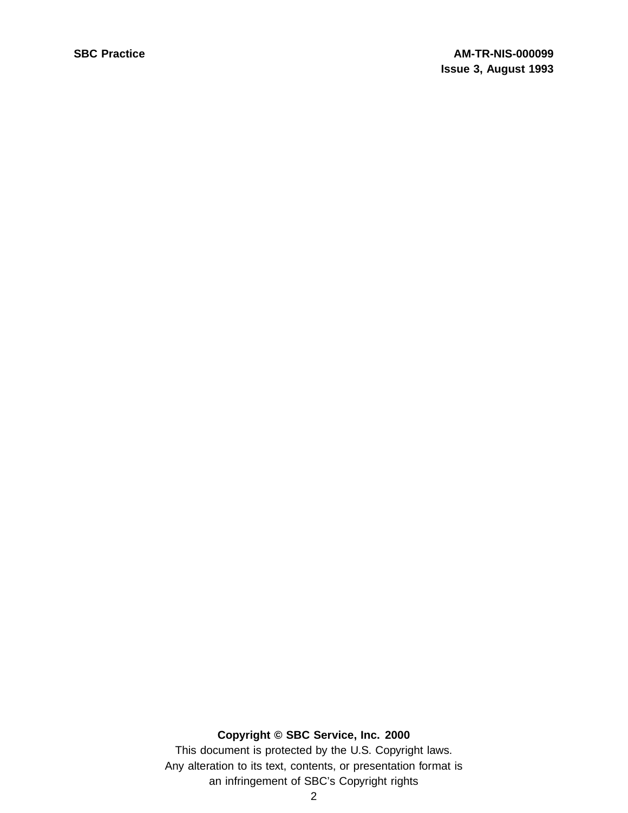## **Copyright © SBC Service, Inc. 2000**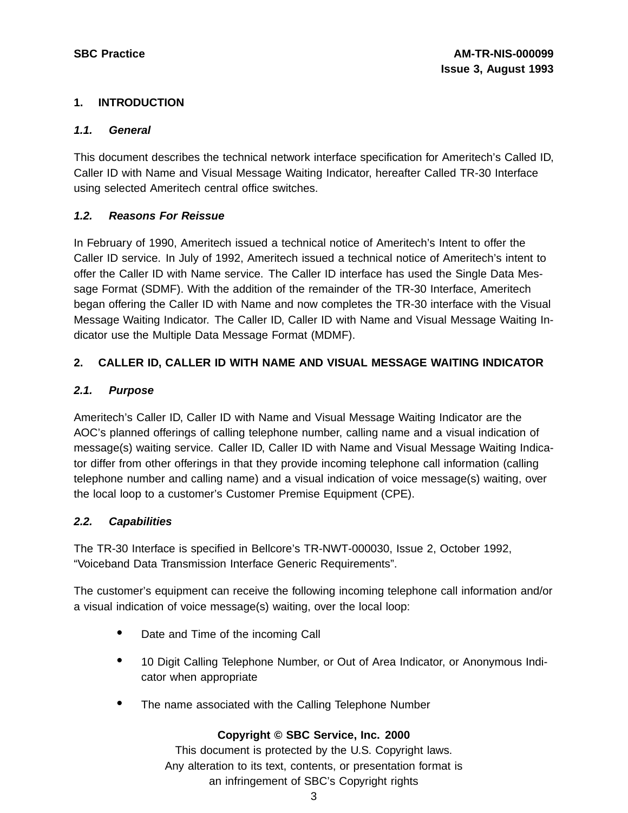## **1. INTRODUCTION**

### **1.1. General**

This document describes the technical network interface specification for Ameritech's Called ID, Caller ID with Name and Visual Message Waiting Indicator, hereafter Called TR-30 Interface using selected Ameritech central office switches.

## **1.2. Reasons For Reissue**

In February of 1990, Ameritech issued a technical notice of Ameritech's Intent to offer the Caller ID service. In July of 1992, Ameritech issued a technical notice of Ameritech's intent to offer the Caller ID with Name service. The Caller ID interface has used the Single Data Message Format (SDMF). With the addition of the remainder of the TR-30 Interface, Ameritech began offering the Caller ID with Name and now completes the TR-30 interface with the Visual Message Waiting Indicator. The Caller ID, Caller ID with Name and Visual Message Waiting Indicator use the Multiple Data Message Format (MDMF).

## **2. CALLER ID, CALLER ID WITH NAME AND VISUAL MESSAGE WAITING INDICATOR**

## **2.1. Purpose**

Ameritech's Caller ID, Caller ID with Name and Visual Message Waiting Indicator are the AOC's planned offerings of calling telephone number, calling name and a visual indication of message(s) waiting service. Caller ID, Caller ID with Name and Visual Message Waiting Indicator differ from other offerings in that they provide incoming telephone call information (calling telephone number and calling name) and a visual indication of voice message(s) waiting, over the local loop to a customer's Customer Premise Equipment (CPE).

## **2.2. Capabilities**

The TR-30 Interface is specified in Bellcore's TR-NWT-000030, Issue 2, October 1992, "Voiceband Data Transmission Interface Generic Requirements".

The customer's equipment can receive the following incoming telephone call information and/or a visual indication of voice message(s) waiting, over the local loop:

- Date and Time of the incoming Call
- <sup>10</sup> Digit Calling Telephone Number, or Out of Area Indicator, or Anonymous Indicator when appropriate
- The name associated with the Calling Telephone Number

## **Copyright © SBC Service, Inc. 2000**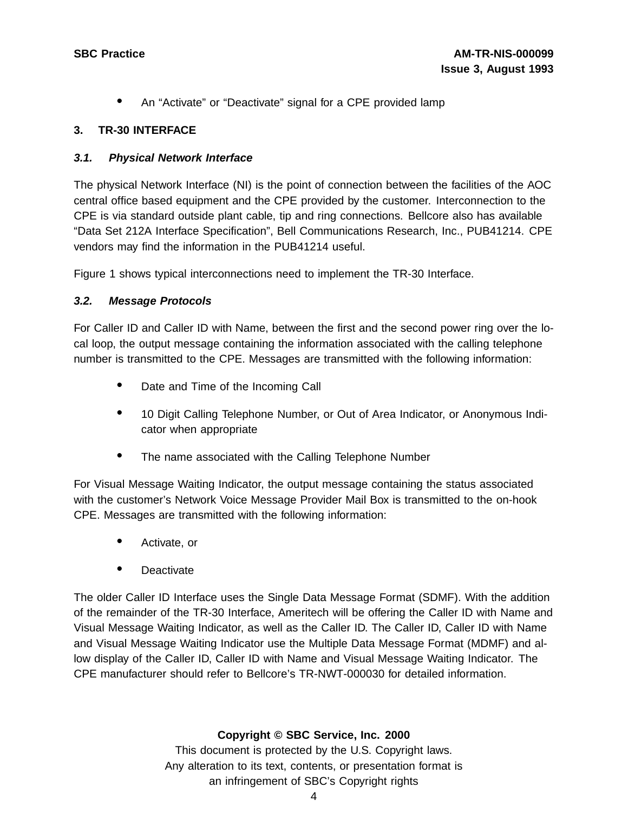• An "Activate" or "Deactivate" signal for <sup>a</sup> CPE provided lamp

### **3. TR-30 INTERFACE**

#### **3.1. Physical Network Interface**

The physical Network Interface (NI) is the point of connection between the facilities of the AOC central office based equipment and the CPE provided by the customer. Interconnection to the CPE is via standard outside plant cable, tip and ring connections. Bellcore also has available "Data Set 212A Interface Specification", Bell Communications Research, Inc., PUB41214. CPE vendors may find the information in the PUB41214 useful.

Figure 1 shows typical interconnections need to implement the TR-30 Interface.

### **3.2. Message Protocols**

For Caller ID and Caller ID with Name, between the first and the second power ring over the local loop, the output message containing the information associated with the calling telephone number is transmitted to the CPE. Messages are transmitted with the following information:

- Date and Time of the Incoming Call
- <sup>10</sup> Digit Calling Telephone Number, or Out of Area Indicator, or Anonymous Indicator when appropriate
- The name associated with the Calling Telephone Number

For Visual Message Waiting Indicator, the output message containing the status associated with the customer's Network Voice Message Provider Mail Box is transmitted to the on-hook CPE. Messages are transmitted with the following information:

- Activate, or
- Deactivate

The older Caller ID Interface uses the Single Data Message Format (SDMF). With the addition of the remainder of the TR-30 Interface, Ameritech will be offering the Caller ID with Name and Visual Message Waiting Indicator, as well as the Caller ID. The Caller ID, Caller ID with Name and Visual Message Waiting Indicator use the Multiple Data Message Format (MDMF) and allow display of the Caller ID, Caller ID with Name and Visual Message Waiting Indicator. The CPE manufacturer should refer to Bellcore's TR-NWT-000030 for detailed information.

#### **Copyright © SBC Service, Inc. 2000**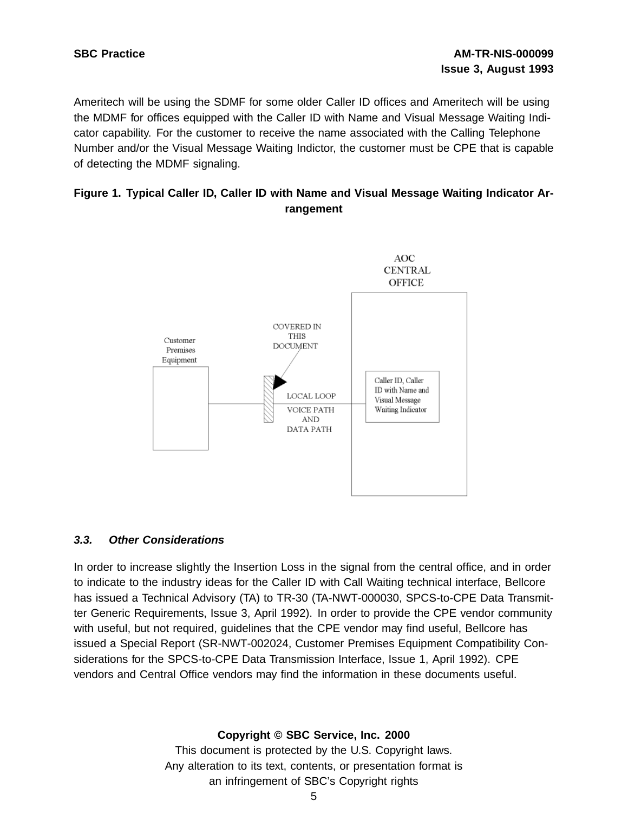Ameritech will be using the SDMF for some older Caller ID offices and Ameritech will be using the MDMF for offices equipped with the Caller ID with Name and Visual Message Waiting Indicator capability. For the customer to receive the name associated with the Calling Telephone Number and/or the Visual Message Waiting Indictor, the customer must be CPE that is capable of detecting the MDMF signaling.

## **Figure 1. Typical Caller ID, Caller ID with Name and Visual Message Waiting Indicator Arrangement**



### **3.3. Other Considerations**

In order to increase slightly the Insertion Loss in the signal from the central office, and in order to indicate to the industry ideas for the Caller ID with Call Waiting technical interface, Bellcore has issued a Technical Advisory (TA) to TR-30 (TA-NWT-000030, SPCS-to-CPE Data Transmitter Generic Requirements, Issue 3, April 1992). In order to provide the CPE vendor community with useful, but not required, guidelines that the CPE vendor may find useful, Bellcore has issued a Special Report (SR-NWT-002024, Customer Premises Equipment Compatibility Considerations for the SPCS-to-CPE Data Transmission Interface, Issue 1, April 1992). CPE vendors and Central Office vendors may find the information in these documents useful.

### **Copyright © SBC Service, Inc. 2000**